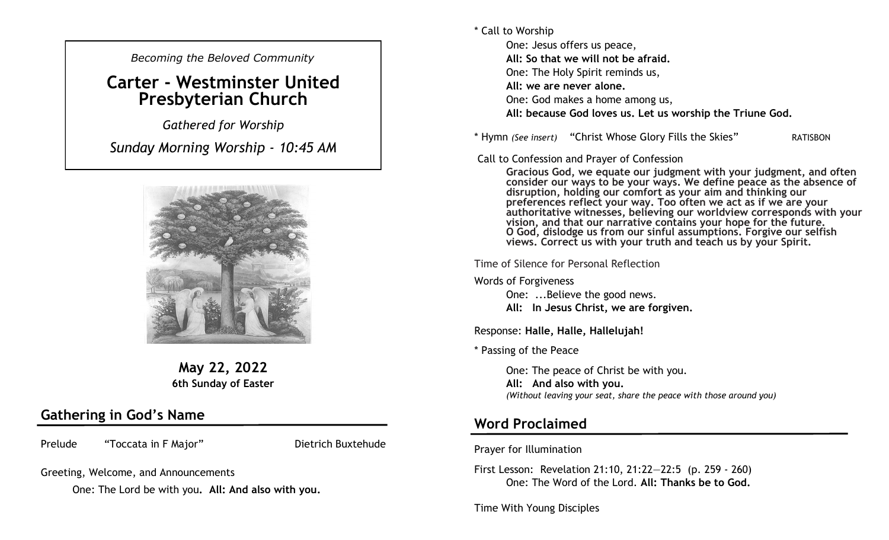*Becoming the Beloved Community* 

## **Carter - Westminster United Presbyterian Church**

*Gathered for Worship Sunday Morning Worship - 10:45 AM*



**May 22, 2022 6th Sunday of Easter**

#### **Gathering in God's Name**

Prelude "Toccata in F Major" Dietrich Buxtehude

Greeting, Welcome, and Announcements

One: The Lord be with you**. All: And also with you.**

\* Call to Worship

One: Jesus offers us peace, **All: So that we will not be afraid.** One: The Holy Spirit reminds us, **All: we are never alone.** One: God makes a home among us, **All: because God loves us. Let us worship the Triune God.**

\* Hymn *(See insert)* "Christ Whose Glory Fills the Skies" RATISBON

Call to Confession and Prayer of Confession

**Gracious God, we equate our judgment with your judgment, and often consider our ways to be your ways. We define peace as the absence of disruption, holding our comfort as your aim and thinking our preferences reflect your way. Too often we act as if we are your authoritative witnesses, believing our worldview corresponds with your vision, and that our narrative contains your hope for the future. O God, dislodge us from our sinful assumptions. Forgive our selfish views. Correct us with your truth and teach us by your Spirit.** 

Time of Silence for Personal Reflection

Words of Forgiveness

One: ...Believe the good news. **All: In Jesus Christ, we are forgiven.** 

Response: **Halle, Halle, Hallelujah!**

\* Passing of the Peace

One: The peace of Christ be with you. **All: And also with you.**  *(Without leaving your seat, share the peace with those around you)*

#### **Word Proclaimed**

Prayer for Illumination

First Lesson: Revelation 21:10, 21:22—22:5 (p. 259 - 260) One: The Word of the Lord. **All: Thanks be to God.**

Time With Young Disciples